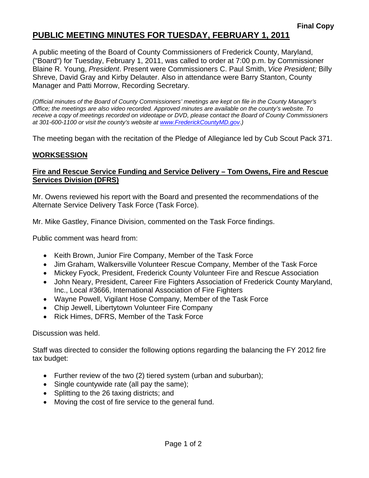# **PUBLIC MEETING MINUTES FOR TUESDAY, FEBRUARY 1, 2011**

A public meeting of the Board of County Commissioners of Frederick County, Maryland, ("Board") for Tuesday, February 1, 2011, was called to order at 7:00 p.m. by Commissioner Blaine R. Young, *President*. Present were Commissioners C. Paul Smith, *Vice President;* Billy Shreve, David Gray and Kirby Delauter. Also in attendance were Barry Stanton, County Manager and Patti Morrow, Recording Secretary.

*(Official minutes of the Board of County Commissioners' meetings are kept on file in the County Manager's Office; the meetings are also video recorded. Approved minutes are available on the county's website. To receive a copy of meetings recorded on videotape or DVD, please contact the Board of County Commissioners at 301-600-1100 or visit the county's website at [www.FrederickCountyMD.gov](http://www.frederickcountymd.gov/).)* 

The meeting began with the recitation of the Pledge of Allegiance led by Cub Scout Pack 371.

## **WORKSESSION**

#### **Fire and Rescue Service Funding and Service Delivery – Tom Owens, Fire and Rescue Services Division (DFRS)**

Mr. Owens reviewed his report with the Board and presented the recommendations of the Alternate Service Delivery Task Force (Task Force).

Mr. Mike Gastley, Finance Division, commented on the Task Force findings.

Public comment was heard from:

- Keith Brown, Junior Fire Company, Member of the Task Force
- Jim Graham, Walkersville Volunteer Rescue Company, Member of the Task Force
- Mickey Fyock, President, Frederick County Volunteer Fire and Rescue Association
- John Neary, President, Career Fire Fighters Association of Frederick County Maryland, Inc., Local #3666, International Association of Fire Fighters
- Wayne Powell, Vigilant Hose Company, Member of the Task Force
- Chip Jewell, Libertytown Volunteer Fire Company
- Rick Himes, DFRS, Member of the Task Force

Discussion was held.

Staff was directed to consider the following options regarding the balancing the FY 2012 fire tax budget:

- Further review of the two (2) tiered system (urban and suburban);
- Single countywide rate (all pay the same);
- Splitting to the 26 taxing districts; and
- Moving the cost of fire service to the general fund.